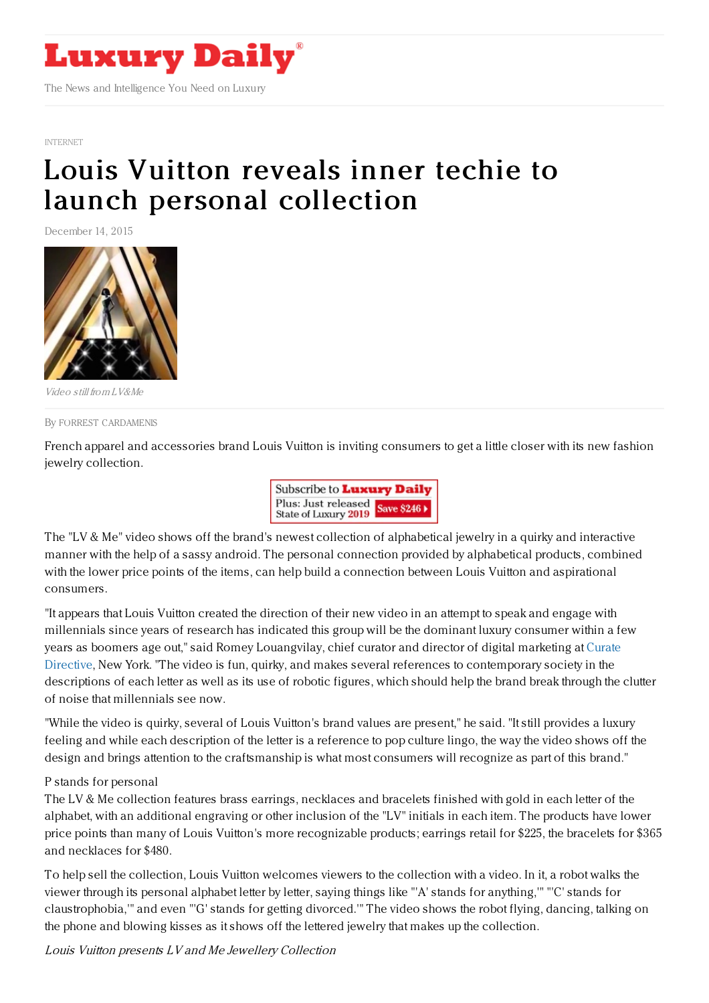

[INTERNET](https://www.luxurydaily.com/category/news/internet-news/)

# Louis Vuitton reveals inner techie to launch personal [collection](https://www.luxurydaily.com/louis-vuitton-reveals-inner-techie-for-personal-new-collection/)

December 14, 2015



Video still from LV&Me

#### By FORREST [CARDAMENIS](file:///author/forrest-cardamenis)

French apparel and accessories brand Louis Vuitton is inviting consumers to get a little closer with its new fashion jewelry collection.



The "LV & Me" video shows off the brand's newest collection of alphabetical jewelry in a quirky and interactive manner with the help of a sassy android. The personal connection provided by alphabetical products, combined with the lower price points of the items, can help build a connection between Louis Vuitton and aspirational consumers.

"It appears that Louis Vuitton created the direction of their new video in an attempt to speak and engage with millennials since years of research has indicated this group will be the dominant luxury consumer within a few years as boomers age out," said Romey Louangvilay, chief curator and director of digital marketing at Curate Directive, New York. "The video is fun, quirky, and makes several references to [contemporary](http://www.curatedirective.com/) society in the descriptions of each letter as well as its use of robotic figures, which should help the brand break through the clutter of noise that millennials see now.

"While the video is quirky, several of Louis Vuitton's brand values are present," he said. "It still provides a luxury feeling and while each description of the letter is a reference to pop culture lingo, the way the video shows off the design and brings attention to the craftsmanship is what most consumers will recognize as part of this brand."

#### P stands for personal

The LV & Me collection features brass earrings, necklaces and bracelets finished with gold in each letter of the alphabet, with an additional engraving or other inclusion of the "LV" initials in each item. The products have lower price points than many of Louis Vuitton's more recognizable products; earrings retail for \$225, the bracelets for \$365 and necklaces for \$480.

To help sell the collection, Louis Vuitton welcomes viewers to the collection with a video. In it, a robot walks the viewer through its personal alphabet letter by letter, saying things like "'A' stands for anything,'" "'C' stands for claustrophobia,'" and even "'G' stands for getting divorced.'" The video shows the robot flying, dancing, talking on the phone and blowing kisses as it shows off the lettered jewelry that makes up the collection.

Louis Vuitton presents LV and Me Jewellery Collection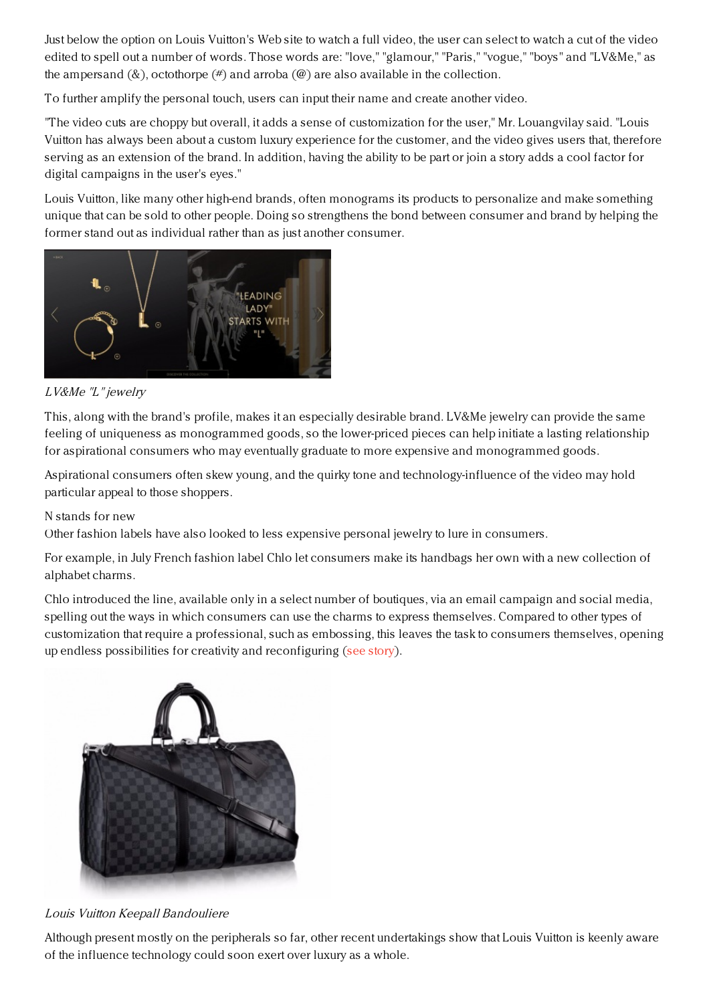Just below the option on Louis Vuitton's Web site to watch a full video, the user can select to watch a cut of the video edited to spell out a number of words. Those words are: "love," "glamour," "Paris," "vogue," "boys" and "LV&Me," as the ampersand  $(\&)$ , octothorpe  $(\#)$  and arroba  $(\&)$  are also available in the collection.

To further amplify the personal touch, users can input their name and create another video.

"The video cuts are choppy but overall, it adds a sense of customization for the user," Mr. Louangvilay said. "Louis Vuitton has always been about a custom luxury experience for the customer, and the video gives users that, therefore serving as an extension of the brand. In addition, having the ability to be part or join a story adds a cool factor for digital campaigns in the user's eyes."

Louis Vuitton, like many other high-end brands, often monograms its products to personalize and make something unique that can be sold to other people. Doing so strengthens the bond between consumer and brand by helping the former stand out as individual rather than as just another consumer.



# LV&Me "L" jewelry

This, along with the brand's profile, makes it an especially desirable brand. LV&Me jewelry can provide the same feeling of uniqueness as monogrammed goods, so the lower-priced pieces can help initiate a lasting relationship for aspirational consumers who may eventually graduate to more expensive and monogrammed goods.

Aspirational consumers often skew young, and the quirky tone and technology-influence of the video may hold particular appeal to those shoppers.

## N stands for new

Other fashion labels have also looked to less expensive personal jewelry to lure in consumers.

For example, in July French fashion label Chlo let consumers make its handbags her own with a new collection of alphabet charms.

Chlo introduced the line, available only in a select number of boutiques, via an email campaign and social media, spelling out the ways in which consumers can use the charms to express themselves. Compared to other types of customization that require a professional, such as embossing, this leaves the task to consumers themselves, opening up endless possibilities for creativity and reconfiguring (see [story](https://www.luxurydaily.com/chloe-puts-personalization-in-consumers-hands-with-alphabet-charms/)).



## Louis Vuitton Keepall Bandouliere

Although present mostly on the peripherals so far, other recent undertakings show that Louis Vuitton is keenly aware of the influence technology could soon exert over luxury as a whole.